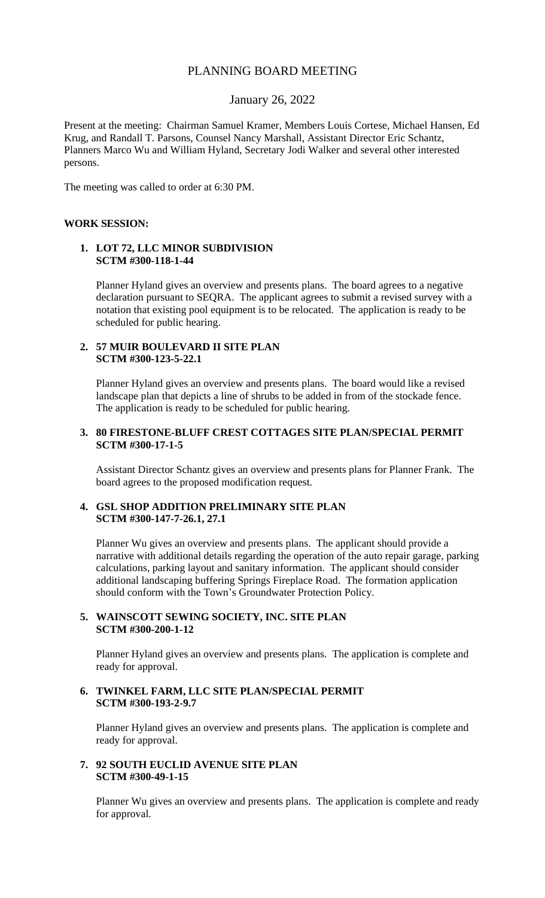## PLANNING BOARD MEETING

## January 26, 2022

Present at the meeting: Chairman Samuel Kramer, Members Louis Cortese, Michael Hansen, Ed Krug, and Randall T. Parsons, Counsel Nancy Marshall, Assistant Director Eric Schantz, Planners Marco Wu and William Hyland, Secretary Jodi Walker and several other interested persons.

The meeting was called to order at 6:30 PM.

#### **WORK SESSION:**

#### **1. LOT 72, LLC MINOR SUBDIVISION SCTM #300-118-1-44**

Planner Hyland gives an overview and presents plans. The board agrees to a negative declaration pursuant to SEQRA. The applicant agrees to submit a revised survey with a notation that existing pool equipment is to be relocated. The application is ready to be scheduled for public hearing.

## **2. 57 MUIR BOULEVARD II SITE PLAN SCTM #300-123-5-22.1**

Planner Hyland gives an overview and presents plans. The board would like a revised landscape plan that depicts a line of shrubs to be added in from of the stockade fence. The application is ready to be scheduled for public hearing.

### **3. 80 FIRESTONE-BLUFF CREST COTTAGES SITE PLAN/SPECIAL PERMIT SCTM #300-17-1-5**

Assistant Director Schantz gives an overview and presents plans for Planner Frank. The board agrees to the proposed modification request.

### **4. GSL SHOP ADDITION PRELIMINARY SITE PLAN SCTM #300-147-7-26.1, 27.1**

Planner Wu gives an overview and presents plans. The applicant should provide a narrative with additional details regarding the operation of the auto repair garage, parking calculations, parking layout and sanitary information. The applicant should consider additional landscaping buffering Springs Fireplace Road. The formation application should conform with the Town's Groundwater Protection Policy.

## **5. WAINSCOTT SEWING SOCIETY, INC. SITE PLAN SCTM #300-200-1-12**

Planner Hyland gives an overview and presents plans. The application is complete and ready for approval.

## **6. TWINKEL FARM, LLC SITE PLAN/SPECIAL PERMIT SCTM #300-193-2-9.7**

Planner Hyland gives an overview and presents plans. The application is complete and ready for approval.

## **7. 92 SOUTH EUCLID AVENUE SITE PLAN SCTM #300-49-1-15**

Planner Wu gives an overview and presents plans. The application is complete and ready for approval.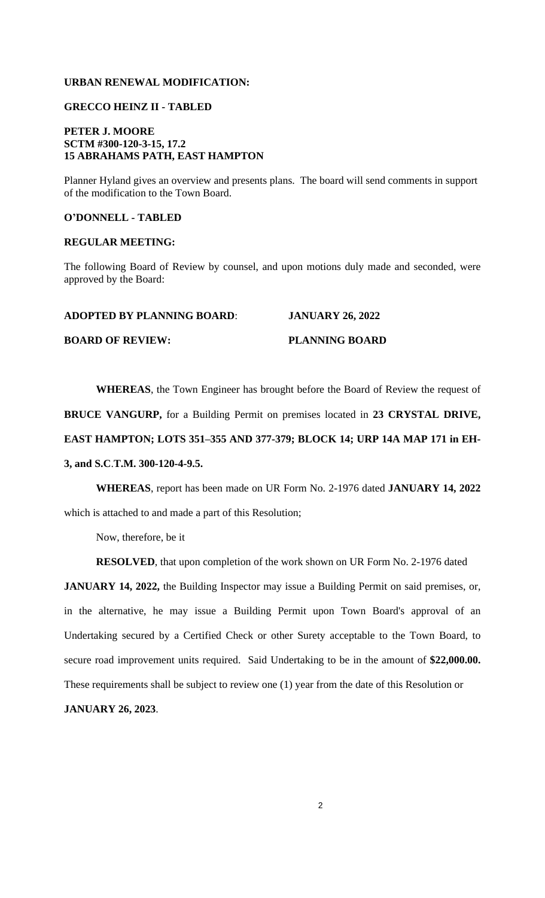## **URBAN RENEWAL MODIFICATION:**

## **GRECCO HEINZ II - TABLED**

## **PETER J. MOORE SCTM #300-120-3-15, 17.2 15 ABRAHAMS PATH, EAST HAMPTON**

Planner Hyland gives an overview and presents plans. The board will send comments in support of the modification to the Town Board.

#### **O'DONNELL - TABLED**

#### **REGULAR MEETING:**

The following Board of Review by counsel, and upon motions duly made and seconded, were approved by the Board:

#### **BOARD OF REVIEW:** PLANNING BOARD

**WHEREAS**, the Town Engineer has brought before the Board of Review the request of **BRUCE VANGURP,** for a Building Permit on premises located in **23 CRYSTAL DRIVE, EAST HAMPTON; LOTS 351–355 AND 377-379; BLOCK 14; URP 14A MAP 171 in EH-3, and S.C**.**T.M. 300-120-4-9.5.**

**WHEREAS**, report has been made on UR Form No. 2-1976 dated **JANUARY 14, 2022** which is attached to and made a part of this Resolution;

Now, therefore, be it

**RESOLVED**, that upon completion of the work shown on UR Form No. 2-1976 dated

**JANUARY 14, 2022,** the Building Inspector may issue a Building Permit on said premises, or, in the alternative, he may issue a Building Permit upon Town Board's approval of an Undertaking secured by a Certified Check or other Surety acceptable to the Town Board, to secure road improvement units required. Said Undertaking to be in the amount of **\$22,000.00.** These requirements shall be subject to review one (1) year from the date of this Resolution or

**JANUARY 26, 2023**.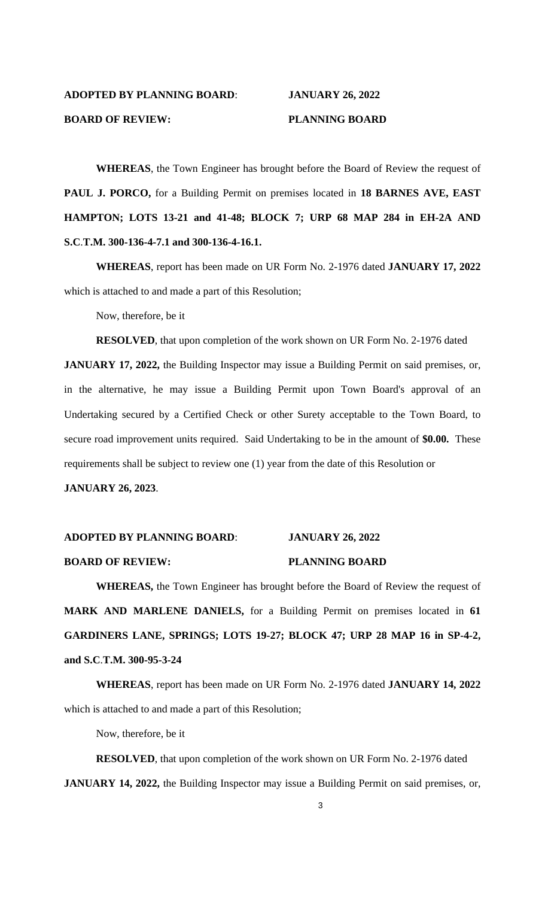## **ADOPTED BY PLANNING BOARD**: **JANUARY 26, 2022 BOARD OF REVIEW:** PLANNING BOARD

**WHEREAS**, the Town Engineer has brought before the Board of Review the request of **PAUL J. PORCO,** for a Building Permit on premises located in **18 BARNES AVE, EAST HAMPTON; LOTS 13-21 and 41-48; BLOCK 7; URP 68 MAP 284 in EH-2A AND S.C**.**T.M. 300-136-4-7.1 and 300-136-4-16.1.**

**WHEREAS**, report has been made on UR Form No. 2-1976 dated **JANUARY 17, 2022** which is attached to and made a part of this Resolution;

Now, therefore, be it

**RESOLVED**, that upon completion of the work shown on UR Form No. 2-1976 dated

**JANUARY 17, 2022,** the Building Inspector may issue a Building Permit on said premises, or, in the alternative, he may issue a Building Permit upon Town Board's approval of an Undertaking secured by a Certified Check or other Surety acceptable to the Town Board, to secure road improvement units required. Said Undertaking to be in the amount of **\$0.00.** These requirements shall be subject to review one (1) year from the date of this Resolution or

**JANUARY 26, 2023**.

# **ADOPTED BY PLANNING BOARD**: **JANUARY 26, 2022 BOARD OF REVIEW:** PLANNING BOARD

**WHEREAS,** the Town Engineer has brought before the Board of Review the request of **MARK AND MARLENE DANIELS,** for a Building Permit on premises located in **61 GARDINERS LANE, SPRINGS; LOTS 19-27; BLOCK 47; URP 28 MAP 16 in SP-4-2, and S.C**.**T.M. 300-95-3-24**

**WHEREAS**, report has been made on UR Form No. 2-1976 dated **JANUARY 14, 2022** which is attached to and made a part of this Resolution;

Now, therefore, be it

**RESOLVED**, that upon completion of the work shown on UR Form No. 2-1976 dated **JANUARY 14, 2022,** the Building Inspector may issue a Building Permit on said premises, or,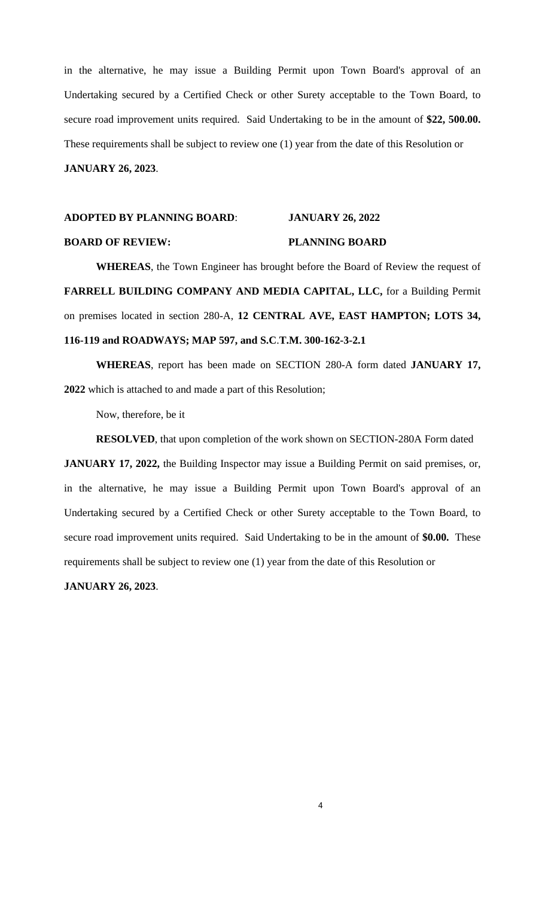in the alternative, he may issue a Building Permit upon Town Board's approval of an Undertaking secured by a Certified Check or other Surety acceptable to the Town Board, to secure road improvement units required. Said Undertaking to be in the amount of **\$22, 500.00.** These requirements shall be subject to review one (1) year from the date of this Resolution or **JANUARY 26, 2023**.

## **ADOPTED BY PLANNING BOARD**: **JANUARY 26, 2022 BOARD OF REVIEW:** PLANNING BOARD

**WHEREAS**, the Town Engineer has brought before the Board of Review the request of **FARRELL BUILDING COMPANY AND MEDIA CAPITAL, LLC,** for a Building Permit on premises located in section 280-A, **12 CENTRAL AVE, EAST HAMPTON; LOTS 34, 116-119 and ROADWAYS; MAP 597, and S.C**.**T.M. 300-162-3-2.1**

**WHEREAS**, report has been made on SECTION 280-A form dated **JANUARY 17, 2022** which is attached to and made a part of this Resolution;

Now, therefore, be it

**RESOLVED**, that upon completion of the work shown on SECTION-280A Form dated

**JANUARY 17, 2022,** the Building Inspector may issue a Building Permit on said premises, or, in the alternative, he may issue a Building Permit upon Town Board's approval of an Undertaking secured by a Certified Check or other Surety acceptable to the Town Board, to secure road improvement units required. Said Undertaking to be in the amount of **\$0.00.** These requirements shall be subject to review one (1) year from the date of this Resolution or

**JANUARY 26, 2023**.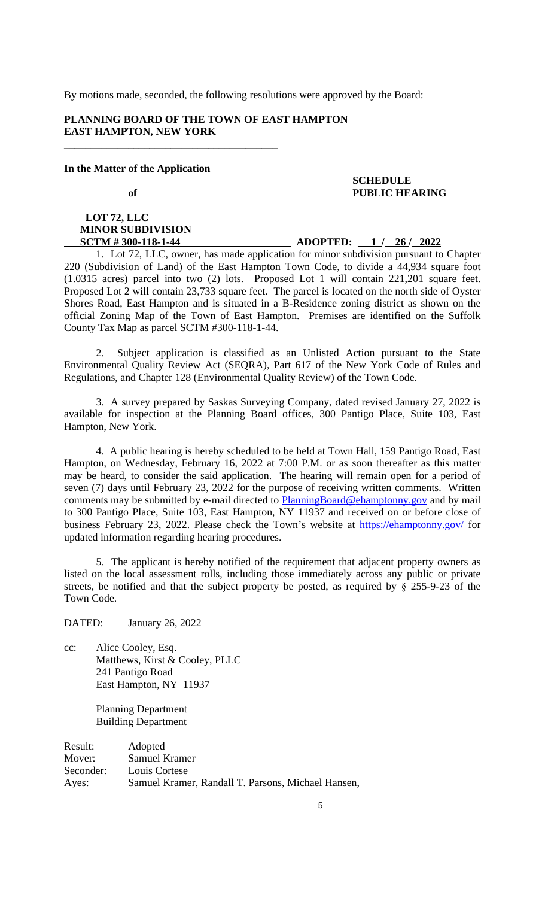## **LOT 72, LLC MINOR SUBDIVISION**

#### **SCTM # 300-118-1-44 ADOPTED:** 1 / 26 / 2022

1. Lot 72, LLC, owner, has made application for minor subdivision pursuant to Chapter 220 (Subdivision of Land) of the East Hampton Town Code, to divide a 44,934 square foot (1.0315 acres) parcel into two (2) lots. Proposed Lot 1 will contain 221,201 square feet. Proposed Lot 2 will contain 23,733 square feet. The parcel is located on the north side of Oyster Shores Road, East Hampton and is situated in a B-Residence zoning district as shown on the official Zoning Map of the Town of East Hampton. Premises are identified on the Suffolk County Tax Map as parcel SCTM #300-118-1-44.

2. Subject application is classified as an Unlisted Action pursuant to the State Environmental Quality Review Act (SEQRA), Part 617 of the New York Code of Rules and Regulations, and Chapter 128 (Environmental Quality Review) of the Town Code.

3. A survey prepared by Saskas Surveying Company, dated revised January 27, 2022 is available for inspection at the Planning Board offices, 300 Pantigo Place, Suite 103, East Hampton, New York.

4. A public hearing is hereby scheduled to be held at Town Hall, 159 Pantigo Road, East Hampton, on Wednesday, February 16, 2022 at 7:00 P.M. or as soon thereafter as this matter may be heard, to consider the said application. The hearing will remain open for a period of seven (7) days until February 23, 2022 for the purpose of receiving written comments. Written comments may be submitted by e-mail directed to PlanningBoard@ehamptonny.gov and by mail to 300 Pantigo Place, Suite 103, East Hampton, NY 11937 and received on or before close of business February 23, 2022. Please check the Town's website at https://ehamptonny.gov/ for updated information regarding hearing procedures.

5. The applicant is hereby notified of the requirement that adjacent property owners as listed on the local assessment rolls, including those immediately across any public or private streets, be notified and that the subject property be posted, as required by § 255-9-23 of the Town Code.

5

DATED: January 26, 2022

cc: Alice Cooley, Esq. Matthews, Kirst & Cooley, PLLC 241 Pantigo Road East Hampton, NY 11937

> Planning Department Building Department

Result: Adopted Mover: Samuel Kramer Seconder: Louis Cortese Ayes: Samuel Kramer, Randall T. Parsons, Michael Hansen,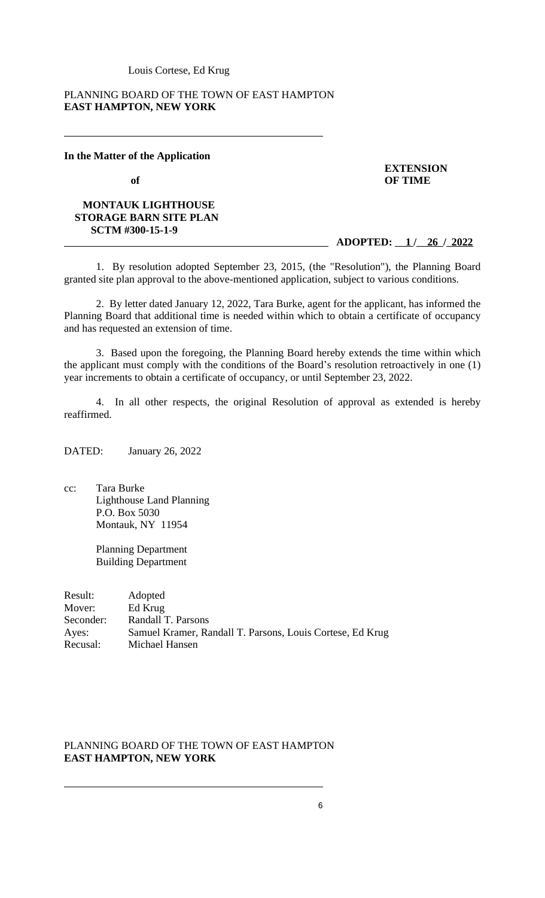Louis Cortese, Ed Krug

### PLANNING BOARD OF THE TOWN OF EAST HAMPTON **EAST HAMPTON, NEW YORK**

#### **In the Matter of the Application**

#### **MONTAUK LIGHTHOUSE STORAGE BARN SITE PLAN SCTM #300-15-1-9**

 **of OF TIME**

**EXTENSION**

#### **ADOPTED: 1 / 26 / 2022**

1. By resolution adopted September 23, 2015, (the "Resolution"), the Planning Board granted site plan approval to the above-mentioned application, subject to various conditions.

2. By letter dated January 12, 2022, Tara Burke, agent for the applicant, has informed the Planning Board that additional time is needed within which to obtain a certificate of occupancy and has requested an extension of time.

3. Based upon the foregoing, the Planning Board hereby extends the time within which the applicant must comply with the conditions of the Board's resolution retroactively in one (1) year increments to obtain a certificate of occupancy, or until September 23, 2022.

4. In all other respects, the original Resolution of approval as extended is hereby reaffirmed.

DATED: January 26, 2022

cc: Tara Burke Lighthouse Land Planning P.O. Box 5030 Montauk, NY 11954

> Planning Department Building Department

Result: Adopted Mover: Ed Krug Seconder: Randall T. Parsons<br>Ayes: Samuel Kramer, Ra Samuel Kramer, Randall T. Parsons, Louis Cortese, Ed Krug Recusal: Michael Hansen

## PLANNING BOARD OF THE TOWN OF EAST HAMPTON **EAST HAMPTON, NEW YORK**